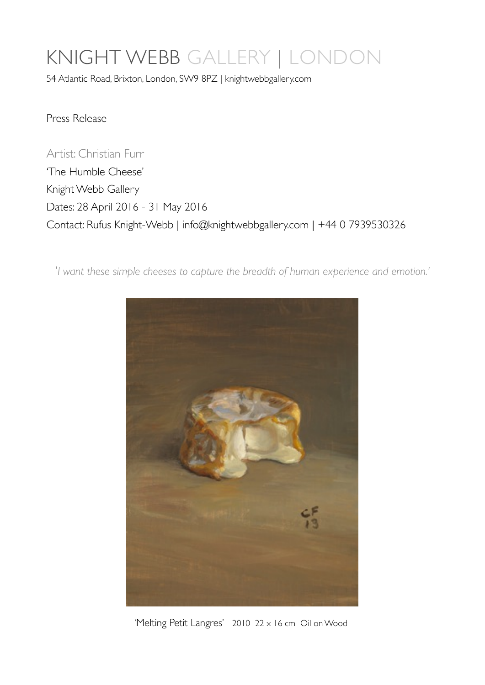## KNIGHT WEBB GALLERY | LONDON

54 Atlantic Road, Brixton, London, SW9 8PZ | knightwebbgallery.com

Press Release

Artist: Christian Furr 'The Humble Cheese' Knight Webb Gallery Dates: 28 April 2016 - 31 May 2016 Contact: Rufus Knight-Webb | [info@knightwebbgallery.com](mailto:info@knightwebbgallery.com) | +44 0 7939530326

'*I want these simple cheeses to capture the breadth of human experience and emotion.'*



'Melting Petit Langres' 2010 22 x 16 cm Oil on Wood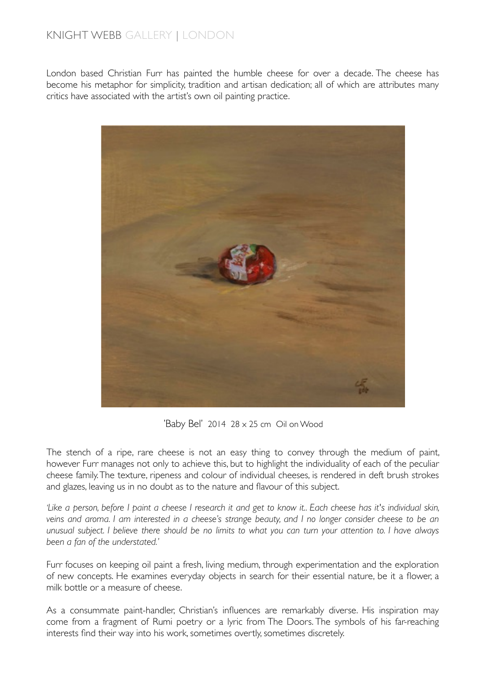## KNIGHT WEBB GALLERY | LONDON

London based Christian Furr has painted the humble cheese for over a decade. The cheese has become his metaphor for simplicity, tradition and artisan dedication; all of which are attributes many critics have associated with the artist's own oil painting practice.



'Baby Bel' 2014  $28 \times 25$  cm Oil on Wood

The stench of a ripe, rare cheese is not an easy thing to convey through the medium of paint, however Furr manages not only to achieve this, but to highlight the individuality of each of the peculiar cheese family. The texture, ripeness and colour of individual cheeses, is rendered in deft brush strokes and glazes, leaving us in no doubt as to the nature and flavour of this subject.

*'Like a person, before I paint a cheese I research it and get to know it.. Each cheese has it's individual skin, veins and aroma. I am interested in a cheese's strange beauty, and I no longer consider cheese to be an unusual subject. I believe there should be no limits to what you can turn your attention to. I have always been a fan of the understated.'*

Furr focuses on keeping oil paint a fresh, living medium, through experimentation and the exploration of new concepts. He examines everyday objects in search for their essential nature, be it a flower, a milk bottle or a measure of cheese.

As a consummate paint-handler, Christian's influences are remarkably diverse. His inspiration may come from a fragment of Rumi poetry or a lyric from The Doors. The symbols of his far-reaching interests find their way into his work, sometimes overtly, sometimes discretely.